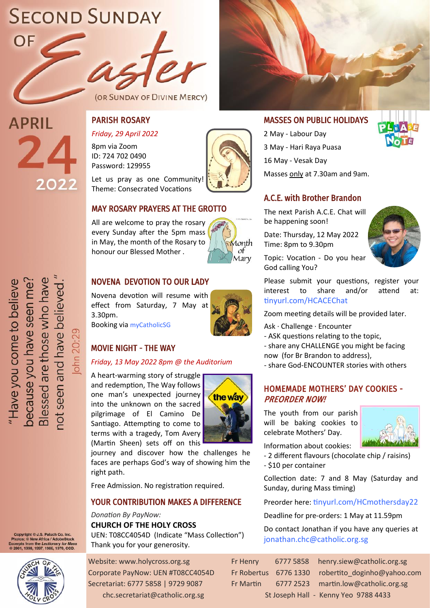# **SECOND SUNDAY**



(OR SUNDAY OF DIVINE MERCY)

# **APRIL** 2022

OF

# PARISH ROSARY

## *Friday, 29 April 2022*

8pm via Zoom ID: 724 702 0490 Password: 129955

Let us pray as one Community! Theme: Consecrated Vocations

# MAY ROSARY PRAYERS AT THE GROTTO

All are welcome to pray the rosary every Sunday after the 5pm mass in May, the month of the Rosary to honour our Blessed Mother .



### NOVENA DEVOTION TO OUR LADY

Novena devotion will resume with effect from Saturday, 7 May at 3.30pm. Booking via [myCatholicSG](https://mycatholic.sg/home)



# MOVIE NIGHT - THE WAY

#### *Friday, 13 May 2022 8pm @ the Auditorium*

A heart-warming story of struggle and redemption, The Way follows one man's unexpected journey into the unknown on the sacred pilgrimage of El Camino De Santiago. Attempting to come to terms with a tragedy, Tom Avery (Martin Sheen) sets off on this



journey and discover how the challenges he faces are perhaps God's way of showing him the right path.

Free Admission. No registration required.

### YOUR CONTRIBUTION MAKES A DIFFERENCE

#### *Donation By PayNow:*

#### **CHURCH OF THE HOLY CROSS**

UEN: T08CC4054D (Indicate "Mass Collection") Thank you for your generosity.



#### MASSES ON PUBLIC HOLIDAYS

2 May - Labour Day 3 May - Hari Raya Puasa 16 May - Vesak Day Masses only at 7.30am and 9am.

# A.C.E. with Brother Brandon

The next Parish A.C.E. Chat will be happening soon!

Date: Thursday, 12 May 2022 Time: 8pm to 9.30pm

Topic: Vocation - Do you hear God calling You?

Please submit your questions, register your interest to share and/or attend at: [tinyurl.com/HCACEChat](https://tinyurl.com/HCACEChat)

Zoom meeting details will be provided later.

- Ask · Challenge · Encounter
- ASK questions relating to the topic,
- share any CHALLENGE you might be facing now (for Br Brandon to address),
- 
- share God-ENCOUNTER stories with others

#### HOMEMADE MOTHERS' DAY COOKIES - PREORDER NOW!

The youth from our parish will be baking cookies to celebrate Mothers' Day.



Information about cookies:

- 2 different flavours (chocolate chip / raisins)
- \$10 per container

Collection date: 7 and 8 May (Saturday and Sunday, during Mass timing)

Preorder here: [tinyurl.com/HCmothersday22](https://tinyurl.com/HCmothersday22)

Deadline for pre-orders: 1 May at 11.59pm

Do contact Jonathan if you have any queries at [jonathan.chc@catholic.org.sg](mailto:jonathan.chc@catholic.org.sg?subject=Mothers)

Website: www.holycross.org.sg Fr Henry 6777 5858 henry.siew@catholic.org.sg Corporate PayNow: UEN #T08CC4054D Fr Robertus 6776 1330 robertito doginho@yahoo.com Secretariat: 6777 5858 | 9729 9087 Fr Martin 6777 2523 martin.low@catholic.org.sg chc.secretariat@catholic.org.sg St Joseph Hall - Kenny Yeo 9788 4433

because you have seen me Blessed are those who have Have you come to believ not seen and have believed



Copyright © J.S. Paluch Co. In Photos: © New Africa / AdobeStock<br>Excerpts from the *Lectionary for Mass*<br>© 2001, 1998, 1997, 1986, 1970, CCD.